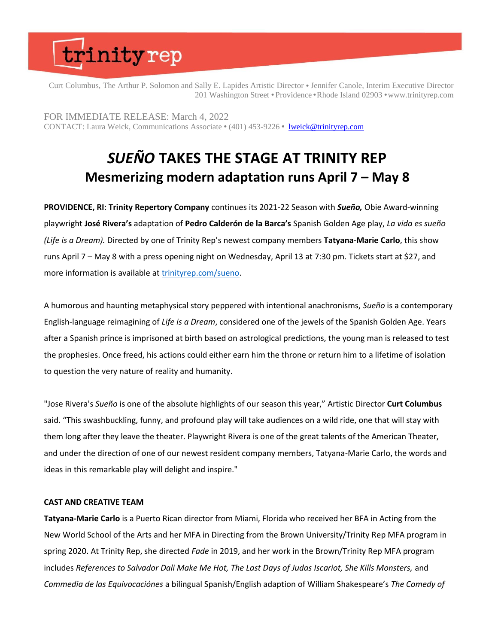Curt Columbus, The Arthur P. Solomon and Sally E. Lapides Artistic Director ⬣ Jennifer Canole, Interim Executive Director 201 Washington Street • Providence • Rhode Island 02903 • [www.trinityrep.com](http://www.trinityrep.com/)

FOR IMMEDIATE RELEASE: March 4, 2022 CONTACT: Laura Weick, Communications Associate ⬣ (401) 453-9226 ⬣ [lweick@trinityrep.com](mailto:lweick@trinityrep.com)

### *SUEÑO* **TAKES THE STAGE AT TRINITY REP Mesmerizing modern adaptation runs April 7 – May 8**

**PROVIDENCE, RI**: **Trinity Repertory Company** continues its 2021-22 Season with *Sueño,* Obie Award-winning playwright **José Rivera's** adaptation of **Pedro Calderón de la Barca's** Spanish Golden Age play, *La vida es sueño (Life is a Dream).* Directed by one of Trinity Rep's newest company members **Tatyana-Marie Carlo**, this show runs April 7 – May 8 with a press opening night on Wednesday, April 13 at 7:30 pm. Tickets start at \$27, and more information is available at [trinityrep.com/sueno.](http://www.trinityrep.com/sueno)

A humorous and haunting metaphysical story peppered with intentional anachronisms, *Sueño* is a contemporary English-language reimagining of *Life is a Dream*, considered one of the jewels of the Spanish Golden Age. Years after a Spanish prince is imprisoned at birth based on astrological predictions, the young man is released to test the prophesies. Once freed, his actions could either earn him the throne or return him to a lifetime of isolation to question the very nature of reality and humanity.

"Jose Rivera's *Sueño* is one of the absolute highlights of our season this year," Artistic Director **Curt Columbus** said. "This swashbuckling, funny, and profound play will take audiences on a wild ride, one that will stay with them long after they leave the theater. Playwright Rivera is one of the great talents of the American Theater, and under the direction of one of our newest resident company members, Tatyana-Marie Carlo, the words and ideas in this remarkable play will delight and inspire."

#### **CAST AND CREATIVE TEAM**

**Tatyana-Marie Carlo** is a Puerto Rican director from Miami, Florida who received her BFA in Acting from the New World School of the Arts and her MFA in Directing from the Brown University/Trinity Rep MFA program in spring 2020. At Trinity Rep, she directed *Fade* in 2019, and her work in the Brown/Trinity Rep MFA program includes *References to Salvador Dali Make Me Hot, The Last Days of Judas Iscariot, She Kills Monsters,* and *Commedia de las Equivocaciónes* a bilingual Spanish/English adaption of William Shakespeare's *The Comedy of*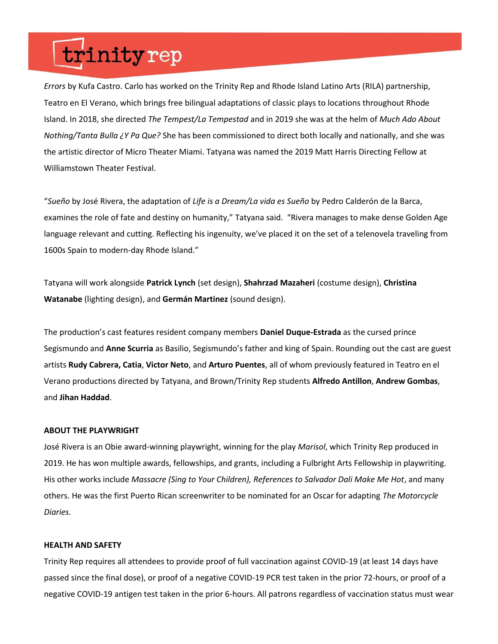*Errors* by Kufa Castro. Carlo has worked on the Trinity Rep and Rhode Island Latino Arts (RILA) partnership, Teatro en El Verano, which brings free bilingual adaptations of classic plays to locations throughout Rhode Island. In 2018, she directed *The Tempest/La Tempestad* and in 2019 she was at the helm of *Much Ado About Nothing/Tanta Bulla ¿Y Pa Que?* She has been commissioned to direct both locally and nationally, and she was the artistic director of Micro Theater Miami. Tatyana was named the 2019 Matt Harris Directing Fellow at Williamstown Theater Festival.

"*Sueño* by José Rivera, the adaptation of *Life is a Dream/La vida es Sueño* by Pedro Calderón de la Barca, examines the role of fate and destiny on humanity," Tatyana said. "Rivera manages to make dense Golden Age language relevant and cutting. Reflecting his ingenuity, we've placed it on the set of a telenovela traveling from 1600s Spain to modern-day Rhode Island."

Tatyana will work alongside **Patrick Lynch** (set design), **Shahrzad Mazaheri** (costume design), **Christina Watanabe** (lighting design), and **Germán Martinez** (sound design).

The production's cast features resident company members **Daniel Duque-Estrada** as the cursed prince Segismundo and **Anne Scurria** as Basilio, Segismundo's father and king of Spain. Rounding out the cast are guest artists **Rudy Cabrera, Catia**, **Victor Neto**, and **Arturo Puentes**, all of whom previously featured in Teatro en el Verano productions directed by Tatyana, and Brown/Trinity Rep students **Alfredo Antillon**, **Andrew Gombas**, and **Jihan Haddad**.

#### **ABOUT THE PLAYWRIGHT**

José Rivera is an Obie award-winning playwright, winning for the play *Marisol*, which Trinity Rep produced in 2019. He has won multiple awards, fellowships, and grants, including a Fulbright Arts Fellowship in playwriting. His other works include *Massacre (Sing to Your Children), References to Salvador Dali Make Me Hot*, and many others. He was the first Puerto Rican screenwriter to be nominated for an Oscar for adapting *The Motorcycle Diaries.*

#### **HEALTH AND SAFETY**

Trinity Rep requires all attendees to provide proof of full vaccination against COVID-19 (at least 14 days have passed since the final dose), or proof of a negative COVID-19 PCR test taken in the prior 72-hours, or proof of a negative COVID-19 antigen test taken in the prior 6-hours. All patrons regardless of vaccination status must wear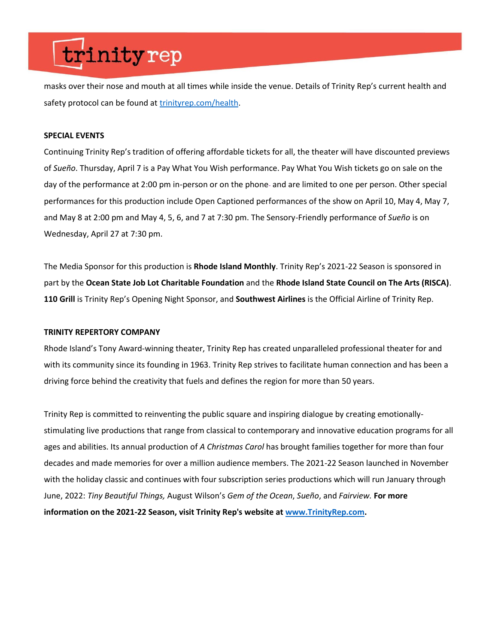masks over their nose and mouth at all times while inside the venue. Details of Trinity Rep's current health and safety protocol can be found at [trinityrep.com/health](http://www.trinityrep.com/health).

#### **SPECIAL EVENTS**

Continuing Trinity Rep's tradition of offering affordable tickets for all, the theater will have discounted previews of *Sueño*. Thursday, April 7 is a Pay What You Wish performance. Pay What You Wish tickets go on sale on the day of the performance at 2:00 pm in-person or on the phone- and are limited to one per person. Other special performances for this production include Open Captioned performances of the show on April 10, May 4, May 7, and May 8 at 2:00 pm and May 4, 5, 6, and 7 at 7:30 pm. The Sensory-Friendly performance of *Sueño* is on Wednesday, April 27 at 7:30 pm.

The Media Sponsor for this production is **Rhode Island Monthly**. Trinity Rep's 2021-22 Season is sponsored in part by the **Ocean State Job Lot Charitable Foundation** and the **Rhode Island State Council on The Arts (RISCA)**. **110 Grill** is Trinity Rep's Opening Night Sponsor, and **Southwest Airlines** is the Official Airline of Trinity Rep.

#### **TRINITY REPERTORY COMPANY**

Rhode Island's Tony Award-winning theater, Trinity Rep has created unparalleled professional theater for and with its community since its founding in 1963. Trinity Rep strives to facilitate human connection and has been a driving force behind the creativity that fuels and defines the region for more than 50 years.

Trinity Rep is committed to reinventing the public square and inspiring dialogue by creating emotionallystimulating live productions that range from classical to contemporary and innovative education programs for all ages and abilities. Its annual production of *A Christmas Carol* has brought families together for more than four decades and made memories for over a million audience members. The 2021-22 Season launched in November with the holiday classic and continues with four subscription series productions which will run January through June, 2022: *Tiny Beautiful Things,* August Wilson's *Gem of the Ocean*, *Sueño*, and *Fairview.* **For more information on the 2021-22 Season, visit Trinity Rep's website at [www.TrinityRep.com.](http://www.trinityrep.com/)**